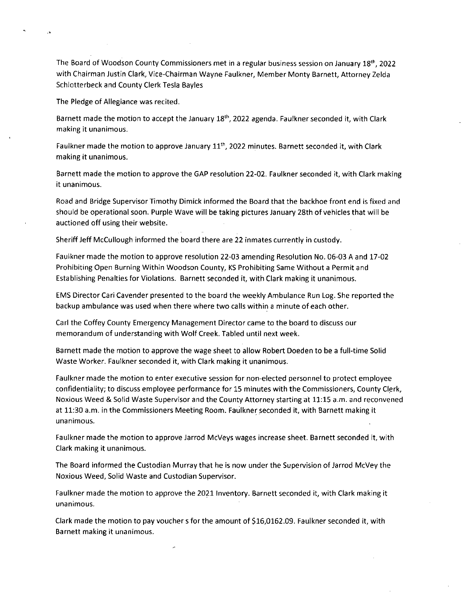The Board of Woodson County Commissioners met in a regular business session on January 18th, 2022 with Chairman Justin Clark, Vice-Chairman Wayne Faulkner, Member Monty Barnett, Attorney Zelda Schlotterbeck and County Clerk Tesla Bayles

The Pledge of Allegiance was recited.

Barnett made the motion to accept the January 18<sup>th</sup>, 2022 agenda. Faulkner seconded it, with Clark making it unanimous.

Faulkner made the motion to approve January 11<sup>th</sup>, 2022 minutes. Barnett seconded it, with Clark making it unanimous.

Barnett made the motion to approve the GAP resolution 22-02. Faulkner seconded it, with Clark making it unanimous.

Road and Bridge Supervisor Timothy Dimick informed the Board that the backhoe front end is fixed and should be operational soon. Purple Wave will be taking pictures January 28th of vehicles that will be auctioned off using their website.

Sheriff Jeff McCullough informed the board there are 22 inmates currently in custody.

Faulkner made the motion to approve resolution 22-03 amending Resolution No. 06-03 A and 17-02 Prohibiting Open Burning Within Woodson County, KS Prohibiting Same Without a Permit and Establishing Penalties for Violations. Barnett seconded it, with Clark making it unanimous.

EMS Director Cari Cavender presented to the board the weekly Ambulance Run Log. She reported the backup ambulance was used when there where two calls within a minute of each other.

Carl the Coffey County Emergency Management Director came to the board to discuss our memorandum of understanding with Wolf Creek. Tabled until next week.

Barnett made the motion to approve the wage sheet to allow Robert Doeden to be a full-time Solid Waste Worker. Faulkner seconded it, with Clark making it unanimous.

Faulkner made the motion to enter executive session for non-elected personnel to protect employee confidentiality; to discuss employee performance for 15 minutes with the Commissioners, County Clerk, Noxious Weed & Solid Waste Supervisor and the County Attorney starting at 11:15 a.m. and reconvened at 11:30 a.m. in the Commissioners Meeting Room. Faulkner seconded it, with Barnett making it unanimous.

Faulkner made the motion to approve Jarrod McVeys wages increase sheet. Barnett seconded it, with Clark making it unanimous.

The Board informed the Custodian Murray that he is now under the Supervision of Jarrod McVey the Noxious Weed, Solid Waste and Custodian Supervisor.

Faulkner made the motion to approve the 2021 Inventory. Barnett seconded it, with Clark making it unanimous.

Clark made the motion to pay vouchers for the amount of \$16,0162.09. Faulkner seconded it, with Barnett making it unanimous.